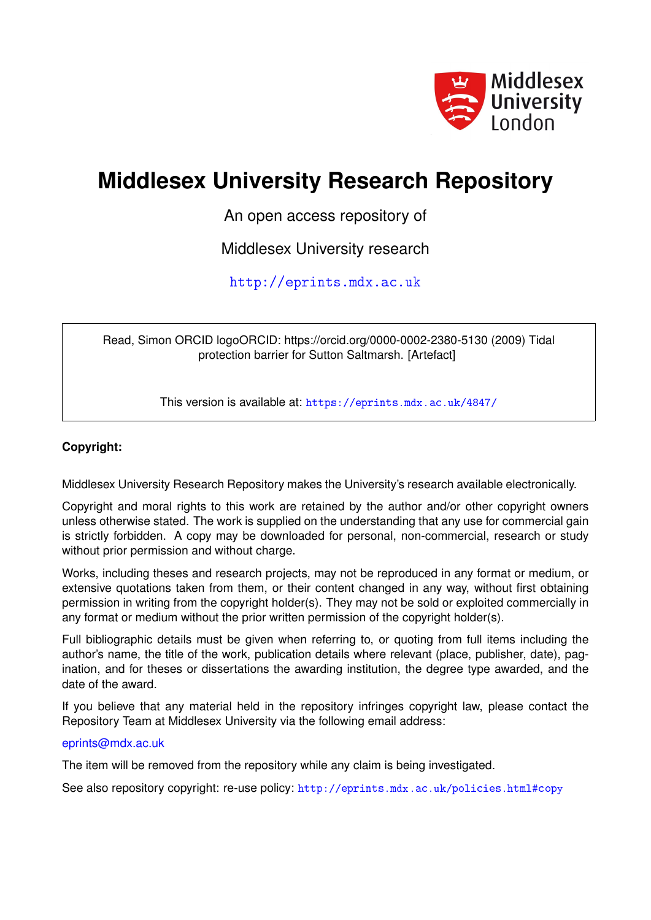

## **Middlesex University Research Repository**

An open access repository of

Middlesex University research

<http://eprints.mdx.ac.uk>

Read, Simon ORCID logoORCID: https://orcid.org/0000-0002-2380-5130 (2009) Tidal protection barrier for Sutton Saltmarsh. [Artefact]

This version is available at: <https://eprints.mdx.ac.uk/4847/>

## **Copyright:**

Middlesex University Research Repository makes the University's research available electronically.

Copyright and moral rights to this work are retained by the author and/or other copyright owners unless otherwise stated. The work is supplied on the understanding that any use for commercial gain is strictly forbidden. A copy may be downloaded for personal, non-commercial, research or study without prior permission and without charge.

Works, including theses and research projects, may not be reproduced in any format or medium, or extensive quotations taken from them, or their content changed in any way, without first obtaining permission in writing from the copyright holder(s). They may not be sold or exploited commercially in any format or medium without the prior written permission of the copyright holder(s).

Full bibliographic details must be given when referring to, or quoting from full items including the author's name, the title of the work, publication details where relevant (place, publisher, date), pagination, and for theses or dissertations the awarding institution, the degree type awarded, and the date of the award.

If you believe that any material held in the repository infringes copyright law, please contact the Repository Team at Middlesex University via the following email address:

## [eprints@mdx.ac.uk](mailto:eprints@mdx.ac.uk)

The item will be removed from the repository while any claim is being investigated.

See also repository copyright: re-use policy: <http://eprints.mdx.ac.uk/policies.html#copy>